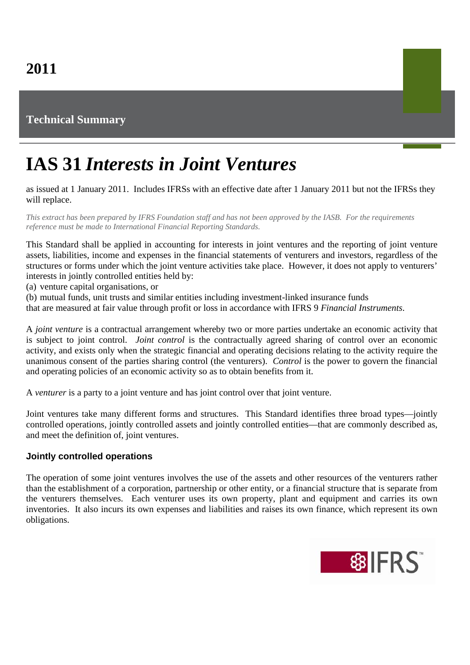## **Technical Summary**

# **IAS 31** *Interests in Joint Ventures*

as issued at 1 January 2011. Includes IFRSs with an effective date after 1 January 2011 but not the IFRSs they will replace.

*This extract has been prepared by IFRS Foundation staff and has not been approved by the IASB. For the requirements reference must be made to International Financial Reporting Standards.*

This Standard shall be applied in accounting for interests in joint ventures and the reporting of joint venture assets, liabilities, income and expenses in the financial statements of venturers and investors, regardless of the structures or forms under which the joint venture activities take place. However, it does not apply to venturers' interests in jointly controlled entities held by:

(a) venture capital organisations, or

(b) mutual funds, unit trusts and similar entities including investment-linked insurance funds

that are measured at fair value through profit or loss in accordance with IFRS 9 *Financial Instruments*.

A *joint venture* is a contractual arrangement whereby two or more parties undertake an economic activity that is subject to joint control. *Joint control* is the contractually agreed sharing of control over an economic activity, and exists only when the strategic financial and operating decisions relating to the activity require the unanimous consent of the parties sharing control (the venturers). *Control* is the power to govern the financial and operating policies of an economic activity so as to obtain benefits from it.

A *venturer* is a party to a joint venture and has joint control over that joint venture.

Joint ventures take many different forms and structures. This Standard identifies three broad types—jointly controlled operations, jointly controlled assets and jointly controlled entities—that are commonly described as, and meet the definition of, joint ventures.

#### **Jointly controlled operations**

The operation of some joint ventures involves the use of the assets and other resources of the venturers rather than the establishment of a corporation, partnership or other entity, or a financial structure that is separate from the venturers themselves. Each venturer uses its own property, plant and equipment and carries its own inventories. It also incurs its own expenses and liabilities and raises its own finance, which represent its own obligations.

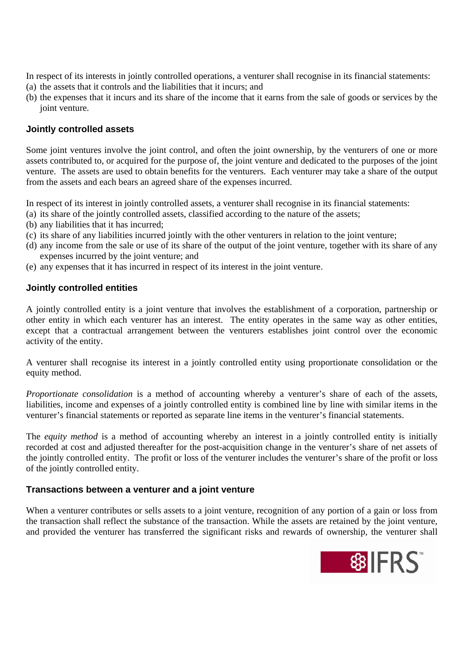In respect of its interests in jointly controlled operations, a venturer shall recognise in its financial statements:

- (a) the assets that it controls and the liabilities that it incurs; and
- (b) the expenses that it incurs and its share of the income that it earns from the sale of goods or services by the joint venture.

### **Jointly controlled assets**

Some joint ventures involve the joint control, and often the joint ownership, by the venturers of one or more assets contributed to, or acquired for the purpose of, the joint venture and dedicated to the purposes of the joint venture. The assets are used to obtain benefits for the venturers. Each venturer may take a share of the output from the assets and each bears an agreed share of the expenses incurred.

In respect of its interest in jointly controlled assets, a venturer shall recognise in its financial statements:

- (a) its share of the jointly controlled assets, classified according to the nature of the assets;
- (b) any liabilities that it has incurred;
- (c) its share of any liabilities incurred jointly with the other venturers in relation to the joint venture;
- (d) any income from the sale or use of its share of the output of the joint venture, together with its share of any expenses incurred by the joint venture; and
- (e) any expenses that it has incurred in respect of its interest in the joint venture.

### **Jointly controlled entities**

A jointly controlled entity is a joint venture that involves the establishment of a corporation, partnership or other entity in which each venturer has an interest. The entity operates in the same way as other entities, except that a contractual arrangement between the venturers establishes joint control over the economic activity of the entity.

A venturer shall recognise its interest in a jointly controlled entity using proportionate consolidation or the equity method.

*Proportionate consolidation* is a method of accounting whereby a venturer's share of each of the assets, liabilities, income and expenses of a jointly controlled entity is combined line by line with similar items in the venturer's financial statements or reported as separate line items in the venturer's financial statements.

The *equity method* is a method of accounting whereby an interest in a jointly controlled entity is initially recorded at cost and adjusted thereafter for the post-acquisition change in the venturer's share of net assets of the jointly controlled entity. The profit or loss of the venturer includes the venturer's share of the profit or loss of the jointly controlled entity.

### **Transactions between a venturer and a joint venture**

When a venturer contributes or sells assets to a joint venture, recognition of any portion of a gain or loss from the transaction shall reflect the substance of the transaction. While the assets are retained by the joint venture, and provided the venturer has transferred the significant risks and rewards of ownership, the venturer shall